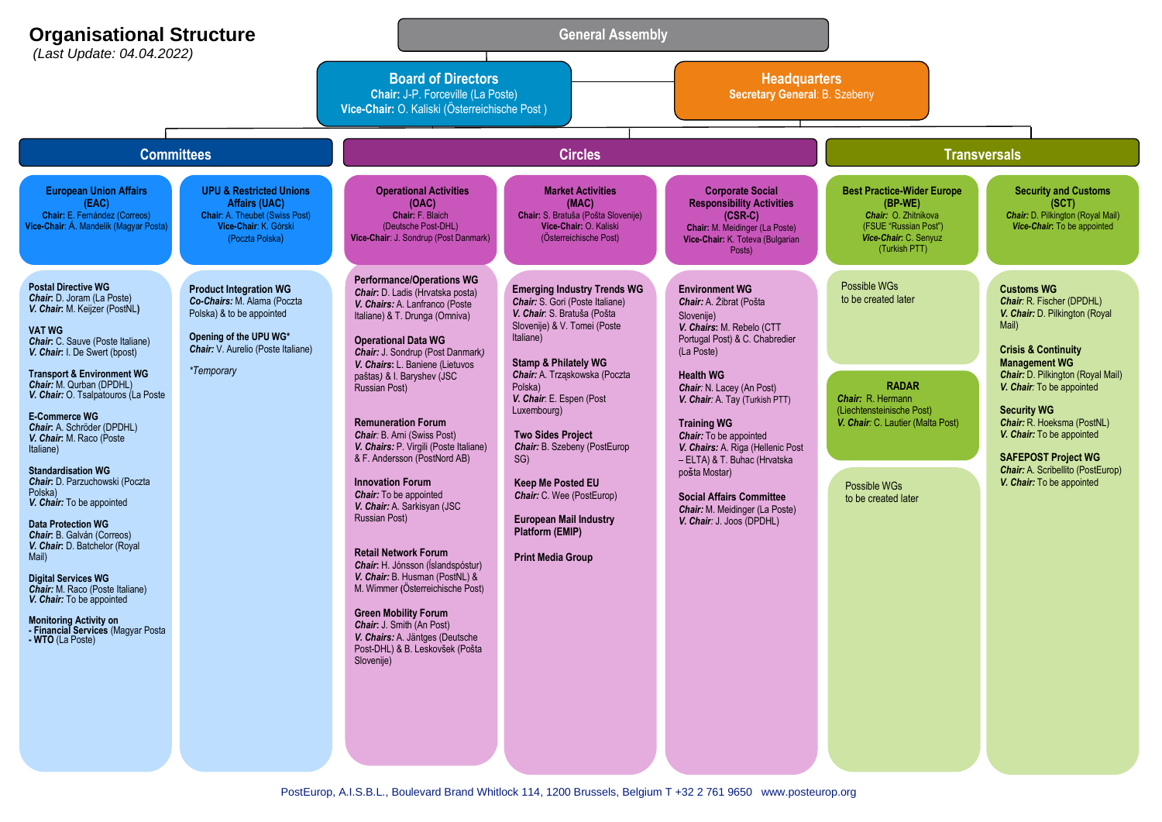| <b>Organisational Structure</b><br>(Last Update: 04.04.2022)                                                                                                                                                                                                                                                                                                                                                                                                                                                                                                                                                                                                                                                                                                                                                                       |                                                                                                                                                                                | <b>General Assembly</b>                                                                                                                                                                                                                                                                                                                                                                                                                                                                                                                                                                                                                                                                                                                                                                                                                                              |                                                                                                                                                                                                                                                                                                                                                                                                                                                                                                |                                                                                                                                                                                                                                                                                                                                                                                                                                                                               |                                                                                                                                                                                   |                                                                                                                                                                                                                                                                                                                                                                                                                             |  |
|------------------------------------------------------------------------------------------------------------------------------------------------------------------------------------------------------------------------------------------------------------------------------------------------------------------------------------------------------------------------------------------------------------------------------------------------------------------------------------------------------------------------------------------------------------------------------------------------------------------------------------------------------------------------------------------------------------------------------------------------------------------------------------------------------------------------------------|--------------------------------------------------------------------------------------------------------------------------------------------------------------------------------|----------------------------------------------------------------------------------------------------------------------------------------------------------------------------------------------------------------------------------------------------------------------------------------------------------------------------------------------------------------------------------------------------------------------------------------------------------------------------------------------------------------------------------------------------------------------------------------------------------------------------------------------------------------------------------------------------------------------------------------------------------------------------------------------------------------------------------------------------------------------|------------------------------------------------------------------------------------------------------------------------------------------------------------------------------------------------------------------------------------------------------------------------------------------------------------------------------------------------------------------------------------------------------------------------------------------------------------------------------------------------|-------------------------------------------------------------------------------------------------------------------------------------------------------------------------------------------------------------------------------------------------------------------------------------------------------------------------------------------------------------------------------------------------------------------------------------------------------------------------------|-----------------------------------------------------------------------------------------------------------------------------------------------------------------------------------|-----------------------------------------------------------------------------------------------------------------------------------------------------------------------------------------------------------------------------------------------------------------------------------------------------------------------------------------------------------------------------------------------------------------------------|--|
|                                                                                                                                                                                                                                                                                                                                                                                                                                                                                                                                                                                                                                                                                                                                                                                                                                    |                                                                                                                                                                                | <b>Board of Directors</b><br>Chair: J-P. Forceville (La Poste)<br>Vice-Chair: O. Kaliski (Österreichische Post)                                                                                                                                                                                                                                                                                                                                                                                                                                                                                                                                                                                                                                                                                                                                                      |                                                                                                                                                                                                                                                                                                                                                                                                                                                                                                | <b>Headquarters</b><br>Secretary General: B. Szebeny                                                                                                                                                                                                                                                                                                                                                                                                                          |                                                                                                                                                                                   |                                                                                                                                                                                                                                                                                                                                                                                                                             |  |
| <b>Committees</b>                                                                                                                                                                                                                                                                                                                                                                                                                                                                                                                                                                                                                                                                                                                                                                                                                  |                                                                                                                                                                                | <b>Circles</b>                                                                                                                                                                                                                                                                                                                                                                                                                                                                                                                                                                                                                                                                                                                                                                                                                                                       |                                                                                                                                                                                                                                                                                                                                                                                                                                                                                                |                                                                                                                                                                                                                                                                                                                                                                                                                                                                               | <b>Transversals</b>                                                                                                                                                               |                                                                                                                                                                                                                                                                                                                                                                                                                             |  |
| <b>European Union Affairs</b><br>(EAC)<br>Chair: E. Fernández (Correos)<br>Vice-Chair: Á. Mandelik (Magyar Posta)                                                                                                                                                                                                                                                                                                                                                                                                                                                                                                                                                                                                                                                                                                                  | <b>UPU &amp; Restricted Unions</b><br><b>Affairs (UAC)</b><br><b>Chair: A. Theubet (Swiss Post)</b><br>Vice-Chair: K. Górski<br>(Poczta Polska)                                | <b>Operational Activities</b><br>(OAC)<br>Chair: F. Blaich<br>(Deutsche Post-DHL)<br>Vice-Chair: J. Sondrup (Post Danmark)                                                                                                                                                                                                                                                                                                                                                                                                                                                                                                                                                                                                                                                                                                                                           | <b>Market Activities</b><br>(MAC)<br>Chair: S. Bratuša (Pošta Slovenije)<br>Vice-Chair: O. Kaliski<br>(Österreichische Post)                                                                                                                                                                                                                                                                                                                                                                   | <b>Corporate Social</b><br><b>Responsibility Activities</b><br>$(CSR-C)$<br>Chair: M. Meidinger (La Poste)<br>Vice-Chair: K. Toteva (Bulgarian<br>Posts)                                                                                                                                                                                                                                                                                                                      | <b>Best Practice-Wider Europe</b><br>(BP-WE)<br>Chair: O. Zhitnikova<br>(FSUE "Russian Post")<br>Vice-Chair: C. Senyuz<br>(Turkish PTT)                                           | <b>Security and Customs</b><br>(SCT)<br><b>Chair:</b> D. Pilkington (Royal Mail)<br>Vice-Chair: To be appointed                                                                                                                                                                                                                                                                                                             |  |
| <b>Postal Directive WG</b><br><b>Chair:</b> D. Joram (La Poste)<br>V. Chair: M. Keijzer (PostNL)<br><b>VAT WG</b><br><b>Chair:</b> C. Sauve (Poste Italiane)<br>V. Chair: I. De Swert (bpost)<br><b>Transport &amp; Environment WG</b><br><b>Chair:</b> M. Qurban (DPDHL)<br>V. Chair: O. Tsalpatouros (La Poste<br><b>E-Commerce WG</b><br>Chair: A. Schröder (DPDHL)<br>V. Chair: M. Raco (Poste<br>Italiane)<br><b>Standardisation WG</b><br>Chair: D. Parzuchowski (Poczta<br>Polska)<br>V. Chair: To be appointed<br><b>Data Protection WG</b><br><b>Chair:</b> B. Galván (Correos)<br>V. Chair: D. Batchelor (Royal<br>Mail)<br><b>Digital Services WG</b><br><b>Chair:</b> M. Raco (Poste Italiane)<br>V. Chair: To be appointed<br><b>Monitoring Activity on</b><br>- Financial Services (Magyar Posta<br>- WIU (La Poste) | <b>Product Integration WG</b><br>Co-Chairs: M. Alama (Poczta<br>Polska) & to be appointed<br>Opening of the UPU WG*<br>Chair: V. Aurelio (Poste Italiane)<br><i>*Temporary</i> | <b>Performance/Operations WG</b><br>Chair: D. Ladis (Hrvatska posta)<br>V. Chairs: A. Lanfranco (Poste<br>Italiane) & T. Drunga (Omniva)<br><b>Operational Data WG</b><br>Chair: J. Sondrup (Post Danmark)<br>V. Chairs: L. Baniene (Lietuvos<br>paštas) & I. Baryshev (JSC<br><b>Russian Post)</b><br><b>Remuneration Forum</b><br><b>Chair: B. Arni (Swiss Post)</b><br>V. Chairs: P. Virgili (Poste Italiane)<br>& F. Andersson (PostNord AB)<br><b>Innovation Forum</b><br><b>Chair:</b> To be appointed<br>V. Chair: A. Sarkisyan (JSC<br><b>Russian Post)</b><br><b>Retail Network Forum</b><br><b>Chair:</b> H. Jónsson (Íslandspóstur)<br>V. Chair: B. Husman (PostNL) &<br>M. Wimmer (Österreichische Post)<br><b>Green Mobility Forum</b><br>Chair: J. Smith (An Post)<br>V. Chairs: A. Jäntges (Deutsche<br>Post-DHL) & B. Leskovšek (Pošta<br>Slovenije) | <b>Emerging Industry Trends WG</b><br><b>Chair:</b> S. Gori (Poste Italiane)<br>V. Chair: S. Bratuša (Pošta<br>Slovenije) & V. Tomei (Poste<br>Italiane)<br><b>Stamp &amp; Philately WG</b><br>Chair: A. Trząskowska (Poczta<br>Polska)<br>V. Chair: E. Espen (Post<br>Luxembourg)<br><b>Two Sides Project</b><br>Chair: B. Szebeny (PostEurop<br>SG)<br><b>Keep Me Posted EU</b><br>Chair: C. Wee (PostEurop)<br><b>European Mail Industry</b><br>Platform (EMIP)<br><b>Print Media Group</b> | <b>Environment WG</b><br>Chair: A. Žibrat (Pošta<br>Slovenije)<br>V. Chairs: M. Rebelo (CTT<br>Portugal Post) & C. Chabredier<br>(La Poste)<br><b>Health WG</b><br>Chair: N. Lacey (An Post)<br>V. Chair: A. Tay (Turkish PTT)<br><b>Training WG</b><br>Chair: To be appointed<br>V. Chairs: A. Riga (Hellenic Post<br>- ELTA) & T. Buhac (Hrvatska<br>pošta Mostar)<br><b>Social Affairs Committee</b><br><b>Chair:</b> M. Meidinger (La Poste)<br>V. Chair: J. Joos (DPDHL) | Possible WGs<br>to be created later<br><b>RADAR</b><br>Chair: R. Hermann<br>(Liechtensteinische Post)<br>V. Chair: C. Lautier (Malta Post)<br>Possible WGs<br>to be created later | <b>Customs WG</b><br><b>Chair: R. Fischer (DPDHL)</b><br>V. Chair: D. Pilkington (Royal<br>Mail)<br><b>Crisis &amp; Continuity</b><br><b>Management WG</b><br><b>Chair:</b> D. Pilkington (Royal Mail)<br>V. Chair: To be appointed<br><b>Security WG</b><br>Chair: R. Hoeksma (PostNL)<br>V. Chair: To be appointed<br><b>SAFEPOST Project WG</b><br><b>Chair:</b> A. Scribellito (PostEurop)<br>V. Chair: To be appointed |  |